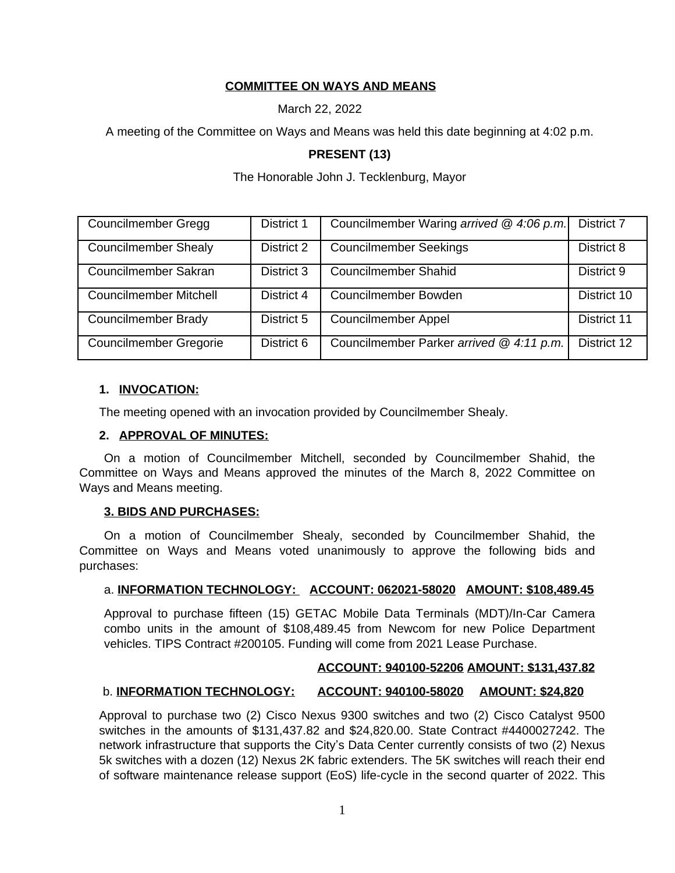### **COMMITTEE ON WAYS AND MEANS**

March 22, 2022

A meeting of the Committee on Ways and Means was held this date beginning at 4:02 p.m.

### **PRESENT (13)**

The Honorable John J. Tecklenburg, Mayor

| <b>Councilmember Gregg</b>    | District 1 | Councilmember Waring arrived @ 4:06 p.m. | District 7  |
|-------------------------------|------------|------------------------------------------|-------------|
| <b>Councilmember Shealy</b>   | District 2 | <b>Councilmember Seekings</b>            | District 8  |
| Councilmember Sakran          | District 3 | <b>Councilmember Shahid</b>              | District 9  |
| <b>Councilmember Mitchell</b> | District 4 | Councilmember Bowden                     | District 10 |
| Councilmember Brady           | District 5 | <b>Councilmember Appel</b>               | District 11 |
| <b>Councilmember Gregorie</b> | District 6 | Councilmember Parker arrived @ 4:11 p.m. | District 12 |

### **1. INVOCATION:**

The meeting opened with an invocation provided by Councilmember Shealy.

### **2. APPROVAL OF MINUTES:**

On a motion of Councilmember Mitchell, seconded by Councilmember Shahid, the Committee on Ways and Means approved the minutes of the March 8, 2022 Committee on Ways and Means meeting.

#### **3. BIDS AND PURCHASES:**

On a motion of Councilmember Shealy, seconded by Councilmember Shahid, the Committee on Ways and Means voted unanimously to approve the following bids and purchases:

### a. **INFORMATION TECHNOLOGY: ACCOUNT: 062021-58020 AMOUNT: \$108,489.45**

Approval to purchase fifteen (15) GETAC Mobile Data Terminals (MDT)/In-Car Camera combo units in the amount of \$108,489.45 from Newcom for new Police Department vehicles. TIPS Contract #200105. Funding will come from 2021 Lease Purchase.

#### **ACCOUNT: 940100-52206 AMOUNT: \$131,437.82**

### b. **INFORMATION TECHNOLOGY: ACCOUNT: 940100-58020 AMOUNT: \$24,820**

Approval to purchase two (2) Cisco Nexus 9300 switches and two (2) Cisco Catalyst 9500 switches in the amounts of \$131,437.82 and \$24,820.00. State Contract #4400027242. The network infrastructure that supports the City's Data Center currently consists of two (2) Nexus 5k switches with a dozen (12) Nexus 2K fabric extenders. The 5K switches will reach their end of software maintenance release support (EoS) life-cycle in the second quarter of 2022. This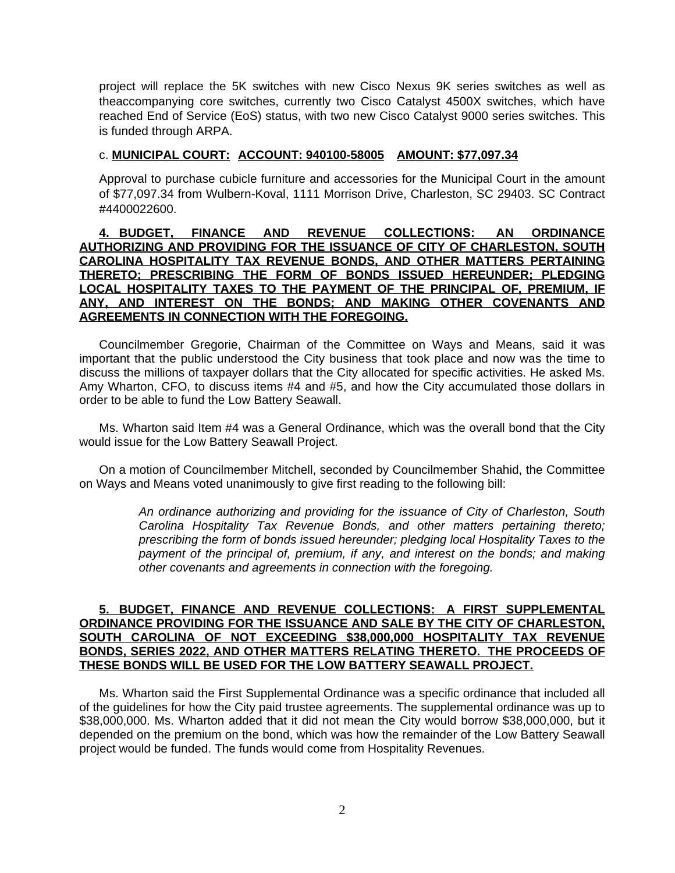project will replace the 5K switches with new Cisco Nexus 9K series switches as well as theaccompanying core switches, currently two Cisco Catalyst 4500X switches, which have reached End of Service (EoS) status, with two new Cisco Catalyst 9000 series switches. This is funded through ARPA.

#### c. **MUNICIPAL COURT: ACCOUNT: 940100-58005 AMOUNT: \$77,097.34**

Approval to purchase cubicle furniture and accessories for the Municipal Court in the amount of \$77,097.34 from Wulbern-Koval, 1111 Morrison Drive, Charleston, SC 29403. SC Contract #4400022600.

### **4. BUDGET, FINANCE AND REVENUE COLLECTIONS: AN ORDINANCE AUTHORIZING AND PROVIDING FOR THE ISSUANCE OF CITY OF CHARLESTON, SOUTH CAROLINA HOSPITALITY TAX REVENUE BONDS, AND OTHER MATTERS PERTAINING THERETO; PRESCRIBING THE FORM OF BONDS ISSUED HEREUNDER; PLEDGING LOCAL HOSPITALITY TAXES TO THE PAYMENT OF THE PRINCIPAL OF, PREMIUM, IF ANY, AND INTEREST ON THE BONDS; AND MAKING OTHER COVENANTS AND AGREEMENTS IN CONNECTION WITH THE FOREGOING.**

Councilmember Gregorie, Chairman of the Committee on Ways and Means, said it was important that the public understood the City business that took place and now was the time to discuss the millions of taxpayer dollars that the City allocated for specific activities. He asked Ms. Amy Wharton, CFO, to discuss items #4 and #5, and how the City accumulated those dollars in order to be able to fund the Low Battery Seawall.

Ms. Wharton said Item #4 was a General Ordinance, which was the overall bond that the City would issue for the Low Battery Seawall Project.

On a motion of Councilmember Mitchell, seconded by Councilmember Shahid, the Committee on Ways and Means voted unanimously to give first reading to the following bill:

> *An ordinance authorizing and providing for the issuance of City of Charleston, South Carolina Hospitality Tax Revenue Bonds, and other matters pertaining thereto; prescribing the form of bonds issued hereunder; pledging local Hospitality Taxes to the payment of the principal of, premium, if any, and interest on the bonds; and making other covenants and agreements in connection with the foregoing.*

### **5. BUDGET, FINANCE AND REVENUE COLLECTIONS: A FIRST SUPPLEMENTAL ORDINANCE PROVIDING FOR THE ISSUANCE AND SALE BY THE CITY OF CHARLESTON, SOUTH CAROLINA OF NOT EXCEEDING \$38,000,000 HOSPITALITY TAX REVENUE BONDS, SERIES 2022, AND OTHER MATTERS RELATING THERETO. THE PROCEEDS OF THESE BONDS WILL BE USED FOR THE LOW BATTERY SEAWALL PROJECT.**

Ms. Wharton said the First Supplemental Ordinance was a specific ordinance that included all of the guidelines for how the City paid trustee agreements. The supplemental ordinance was up to \$38,000,000. Ms. Wharton added that it did not mean the City would borrow \$38,000,000, but it depended on the premium on the bond, which was how the remainder of the Low Battery Seawall project would be funded. The funds would come from Hospitality Revenues.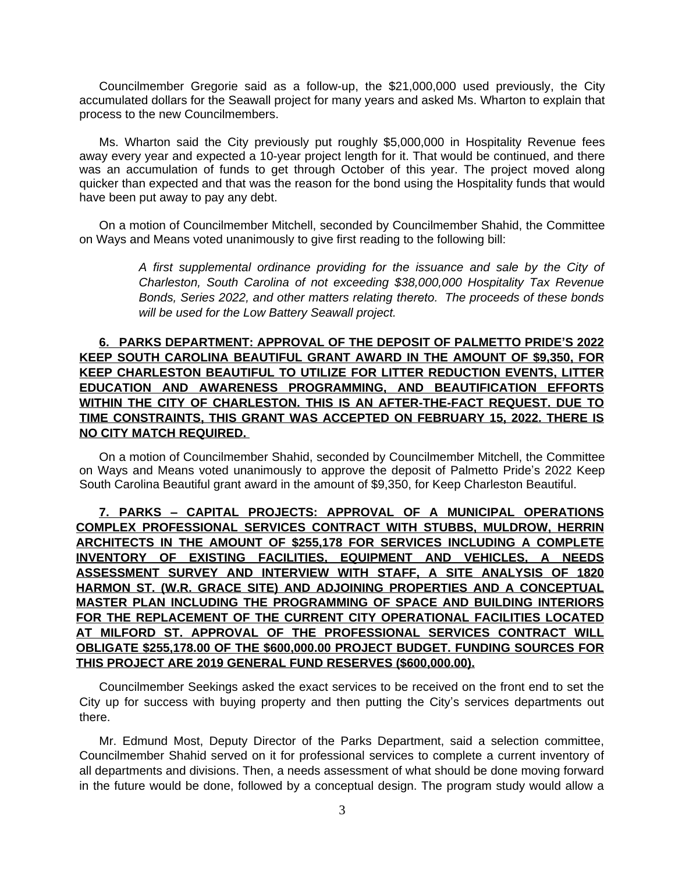Councilmember Gregorie said as a follow-up, the \$21,000,000 used previously, the City accumulated dollars for the Seawall project for many years and asked Ms. Wharton to explain that process to the new Councilmembers.

Ms. Wharton said the City previously put roughly \$5,000,000 in Hospitality Revenue fees away every year and expected a 10-year project length for it. That would be continued, and there was an accumulation of funds to get through October of this year. The project moved along quicker than expected and that was the reason for the bond using the Hospitality funds that would have been put away to pay any debt.

On a motion of Councilmember Mitchell, seconded by Councilmember Shahid, the Committee on Ways and Means voted unanimously to give first reading to the following bill:

> *A first supplemental ordinance providing for the issuance and sale by the City of Charleston, South Carolina of not exceeding \$38,000,000 Hospitality Tax Revenue Bonds, Series 2022, and other matters relating thereto. The proceeds of these bonds will be used for the Low Battery Seawall project.*

## **6. PARKS DEPARTMENT: APPROVAL OF THE DEPOSIT OF PALMETTO PRIDE'S 2022 KEEP SOUTH CAROLINA BEAUTIFUL GRANT AWARD IN THE AMOUNT OF \$9,350, FOR KEEP CHARLESTON BEAUTIFUL TO UTILIZE FOR LITTER REDUCTION EVENTS, LITTER EDUCATION AND AWARENESS PROGRAMMING, AND BEAUTIFICATION EFFORTS WITHIN THE CITY OF CHARLESTON. THIS IS AN AFTER-THE-FACT REQUEST. DUE TO TIME CONSTRAINTS, THIS GRANT WAS ACCEPTED ON FEBRUARY 15, 2022. THERE IS NO CITY MATCH REQUIRED.**

On a motion of Councilmember Shahid, seconded by Councilmember Mitchell, the Committee on Ways and Means voted unanimously to approve the deposit of Palmetto Pride's 2022 Keep South Carolina Beautiful grant award in the amount of \$9,350, for Keep Charleston Beautiful.

**7. PARKS – CAPITAL PROJECTS: APPROVAL OF A MUNICIPAL OPERATIONS COMPLEX PROFESSIONAL SERVICES CONTRACT WITH STUBBS, MULDROW, HERRIN ARCHITECTS IN THE AMOUNT OF \$255,178 FOR SERVICES INCLUDING A COMPLETE INVENTORY OF EXISTING FACILITIES, EQUIPMENT AND VEHICLES, A NEEDS ASSESSMENT SURVEY AND INTERVIEW WITH STAFF, A SITE ANALYSIS OF 1820 HARMON ST. (W.R. GRACE SITE) AND ADJOINING PROPERTIES AND A CONCEPTUAL MASTER PLAN INCLUDING THE PROGRAMMING OF SPACE AND BUILDING INTERIORS FOR THE REPLACEMENT OF THE CURRENT CITY OPERATIONAL FACILITIES LOCATED AT MILFORD ST. APPROVAL OF THE PROFESSIONAL SERVICES CONTRACT WILL OBLIGATE \$255,178.00 OF THE \$600,000.00 PROJECT BUDGET. FUNDING SOURCES FOR THIS PROJECT ARE 2019 GENERAL FUND RESERVES (\$600,000.00).**

Councilmember Seekings asked the exact services to be received on the front end to set the City up for success with buying property and then putting the City's services departments out there.

Mr. Edmund Most, Deputy Director of the Parks Department, said a selection committee, Councilmember Shahid served on it for professional services to complete a current inventory of all departments and divisions. Then, a needs assessment of what should be done moving forward in the future would be done, followed by a conceptual design. The program study would allow a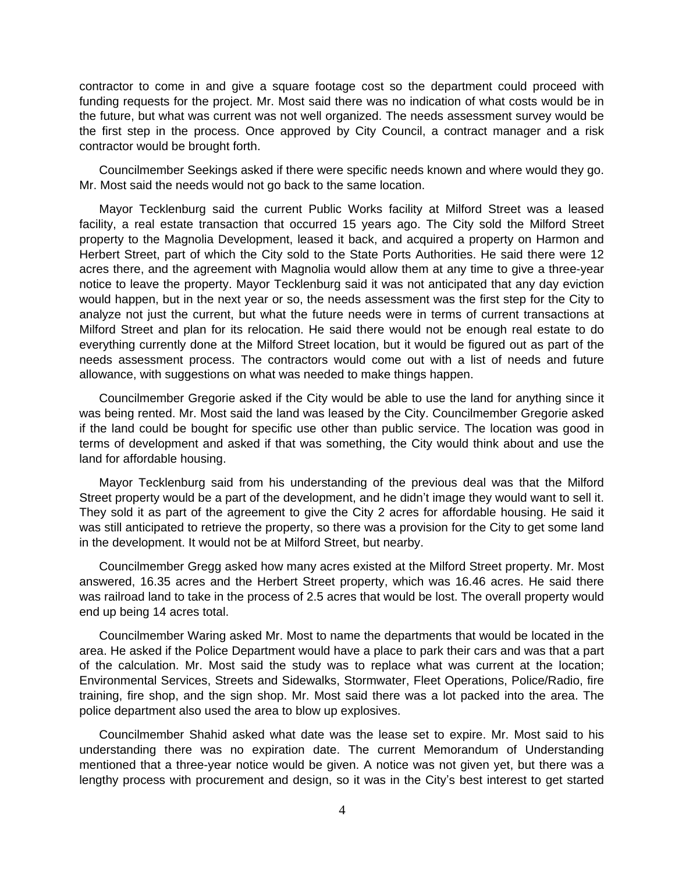contractor to come in and give a square footage cost so the department could proceed with funding requests for the project. Mr. Most said there was no indication of what costs would be in the future, but what was current was not well organized. The needs assessment survey would be the first step in the process. Once approved by City Council, a contract manager and a risk contractor would be brought forth.

Councilmember Seekings asked if there were specific needs known and where would they go. Mr. Most said the needs would not go back to the same location.

Mayor Tecklenburg said the current Public Works facility at Milford Street was a leased facility, a real estate transaction that occurred 15 years ago. The City sold the Milford Street property to the Magnolia Development, leased it back, and acquired a property on Harmon and Herbert Street, part of which the City sold to the State Ports Authorities. He said there were 12 acres there, and the agreement with Magnolia would allow them at any time to give a three-year notice to leave the property. Mayor Tecklenburg said it was not anticipated that any day eviction would happen, but in the next year or so, the needs assessment was the first step for the City to analyze not just the current, but what the future needs were in terms of current transactions at Milford Street and plan for its relocation. He said there would not be enough real estate to do everything currently done at the Milford Street location, but it would be figured out as part of the needs assessment process. The contractors would come out with a list of needs and future allowance, with suggestions on what was needed to make things happen.

Councilmember Gregorie asked if the City would be able to use the land for anything since it was being rented. Mr. Most said the land was leased by the City. Councilmember Gregorie asked if the land could be bought for specific use other than public service. The location was good in terms of development and asked if that was something, the City would think about and use the land for affordable housing.

Mayor Tecklenburg said from his understanding of the previous deal was that the Milford Street property would be a part of the development, and he didn't image they would want to sell it. They sold it as part of the agreement to give the City 2 acres for affordable housing. He said it was still anticipated to retrieve the property, so there was a provision for the City to get some land in the development. It would not be at Milford Street, but nearby.

Councilmember Gregg asked how many acres existed at the Milford Street property. Mr. Most answered, 16.35 acres and the Herbert Street property, which was 16.46 acres. He said there was railroad land to take in the process of 2.5 acres that would be lost. The overall property would end up being 14 acres total.

Councilmember Waring asked Mr. Most to name the departments that would be located in the area. He asked if the Police Department would have a place to park their cars and was that a part of the calculation. Mr. Most said the study was to replace what was current at the location; Environmental Services, Streets and Sidewalks, Stormwater, Fleet Operations, Police/Radio, fire training, fire shop, and the sign shop. Mr. Most said there was a lot packed into the area. The police department also used the area to blow up explosives.

Councilmember Shahid asked what date was the lease set to expire. Mr. Most said to his understanding there was no expiration date. The current Memorandum of Understanding mentioned that a three-year notice would be given. A notice was not given yet, but there was a lengthy process with procurement and design, so it was in the City's best interest to get started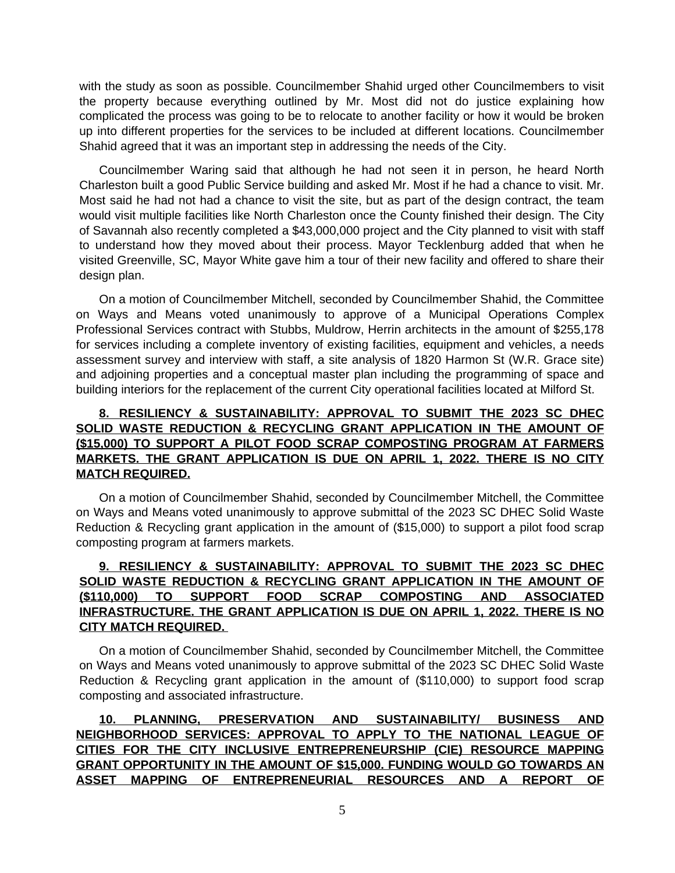with the study as soon as possible. Councilmember Shahid urged other Councilmembers to visit the property because everything outlined by Mr. Most did not do justice explaining how complicated the process was going to be to relocate to another facility or how it would be broken up into different properties for the services to be included at different locations. Councilmember Shahid agreed that it was an important step in addressing the needs of the City.

Councilmember Waring said that although he had not seen it in person, he heard North Charleston built a good Public Service building and asked Mr. Most if he had a chance to visit. Mr. Most said he had not had a chance to visit the site, but as part of the design contract, the team would visit multiple facilities like North Charleston once the County finished their design. The City of Savannah also recently completed a \$43,000,000 project and the City planned to visit with staff to understand how they moved about their process. Mayor Tecklenburg added that when he visited Greenville, SC, Mayor White gave him a tour of their new facility and offered to share their design plan.

On a motion of Councilmember Mitchell, seconded by Councilmember Shahid, the Committee on Ways and Means voted unanimously to approve of a Municipal Operations Complex Professional Services contract with Stubbs, Muldrow, Herrin architects in the amount of \$255,178 for services including a complete inventory of existing facilities, equipment and vehicles, a needs assessment survey and interview with staff, a site analysis of 1820 Harmon St (W.R. Grace site) and adjoining properties and a conceptual master plan including the programming of space and building interiors for the replacement of the current City operational facilities located at Milford St.

# **8. RESILIENCY & SUSTAINABILITY: APPROVAL TO SUBMIT THE 2023 SC DHEC SOLID WASTE REDUCTION & RECYCLING GRANT APPLICATION IN THE AMOUNT OF (\$15,000) TO SUPPORT A PILOT FOOD SCRAP COMPOSTING PROGRAM AT FARMERS MARKETS. THE GRANT APPLICATION IS DUE ON APRIL 1, 2022. THERE IS NO CITY MATCH REQUIRED.**

On a motion of Councilmember Shahid, seconded by Councilmember Mitchell, the Committee on Ways and Means voted unanimously to approve submittal of the 2023 SC DHEC Solid Waste Reduction & Recycling grant application in the amount of (\$15,000) to support a pilot food scrap composting program at farmers markets.

## **9. RESILIENCY & SUSTAINABILITY: APPROVAL TO SUBMIT THE 2023 SC DHEC SOLID WASTE REDUCTION & RECYCLING GRANT APPLICATION IN THE AMOUNT OF (\$110,000) TO SUPPORT FOOD SCRAP COMPOSTING AND ASSOCIATED INFRASTRUCTURE. THE GRANT APPLICATION IS DUE ON APRIL 1, 2022. THERE IS NO CITY MATCH REQUIRED.**

On a motion of Councilmember Shahid, seconded by Councilmember Mitchell, the Committee on Ways and Means voted unanimously to approve submittal of the 2023 SC DHEC Solid Waste Reduction & Recycling grant application in the amount of (\$110,000) to support food scrap composting and associated infrastructure.

**10. PLANNING, PRESERVATION AND SUSTAINABILITY/ BUSINESS AND NEIGHBORHOOD SERVICES: APPROVAL TO APPLY TO THE NATIONAL LEAGUE OF CITIES FOR THE CITY INCLUSIVE ENTREPRENEURSHIP (CIE) RESOURCE MAPPING GRANT OPPORTUNITY IN THE AMOUNT OF \$15,000. FUNDING WOULD GO TOWARDS AN ASSET MAPPING OF ENTREPRENEURIAL RESOURCES AND A REPORT OF**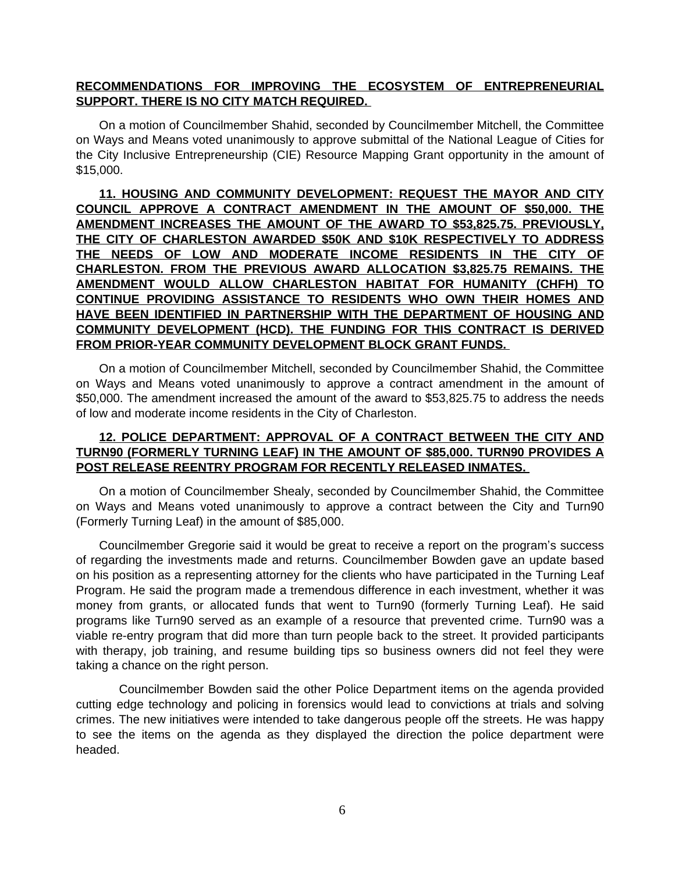### **RECOMMENDATIONS FOR IMPROVING THE ECOSYSTEM OF ENTREPRENEURIAL SUPPORT. THERE IS NO CITY MATCH REQUIRED.**

On a motion of Councilmember Shahid, seconded by Councilmember Mitchell, the Committee on Ways and Means voted unanimously to approve submittal of the National League of Cities for the City Inclusive Entrepreneurship (CIE) Resource Mapping Grant opportunity in the amount of \$15,000.

**11. HOUSING AND COMMUNITY DEVELOPMENT: REQUEST THE MAYOR AND CITY COUNCIL APPROVE A CONTRACT AMENDMENT IN THE AMOUNT OF \$50,000. THE AMENDMENT INCREASES THE AMOUNT OF THE AWARD TO \$53,825.75. PREVIOUSLY, THE CITY OF CHARLESTON AWARDED \$50K AND \$10K RESPECTIVELY TO ADDRESS THE NEEDS OF LOW AND MODERATE INCOME RESIDENTS IN THE CITY OF CHARLESTON. FROM THE PREVIOUS AWARD ALLOCATION \$3,825.75 REMAINS. THE AMENDMENT WOULD ALLOW CHARLESTON HABITAT FOR HUMANITY (CHFH) TO CONTINUE PROVIDING ASSISTANCE TO RESIDENTS WHO OWN THEIR HOMES AND HAVE BEEN IDENTIFIED IN PARTNERSHIP WITH THE DEPARTMENT OF HOUSING AND COMMUNITY DEVELOPMENT (HCD). THE FUNDING FOR THIS CONTRACT IS DERIVED FROM PRIOR-YEAR COMMUNITY DEVELOPMENT BLOCK GRANT FUNDS.** 

On a motion of Councilmember Mitchell, seconded by Councilmember Shahid, the Committee on Ways and Means voted unanimously to approve a contract amendment in the amount of \$50,000. The amendment increased the amount of the award to \$53,825.75 to address the needs of low and moderate income residents in the City of Charleston.

## **12. POLICE DEPARTMENT: APPROVAL OF A CONTRACT BETWEEN THE CITY AND TURN90 (FORMERLY TURNING LEAF) IN THE AMOUNT OF \$85,000. TURN90 PROVIDES A POST RELEASE REENTRY PROGRAM FOR RECENTLY RELEASED INMATES.**

On a motion of Councilmember Shealy, seconded by Councilmember Shahid, the Committee on Ways and Means voted unanimously to approve a contract between the City and Turn90 (Formerly Turning Leaf) in the amount of \$85,000.

Councilmember Gregorie said it would be great to receive a report on the program's success of regarding the investments made and returns. Councilmember Bowden gave an update based on his position as a representing attorney for the clients who have participated in the Turning Leaf Program. He said the program made a tremendous difference in each investment, whether it was money from grants, or allocated funds that went to Turn90 (formerly Turning Leaf). He said programs like Turn90 served as an example of a resource that prevented crime. Turn90 was a viable re-entry program that did more than turn people back to the street. It provided participants with therapy, job training, and resume building tips so business owners did not feel they were taking a chance on the right person.

Councilmember Bowden said the other Police Department items on the agenda provided cutting edge technology and policing in forensics would lead to convictions at trials and solving crimes. The new initiatives were intended to take dangerous people off the streets. He was happy to see the items on the agenda as they displayed the direction the police department were headed.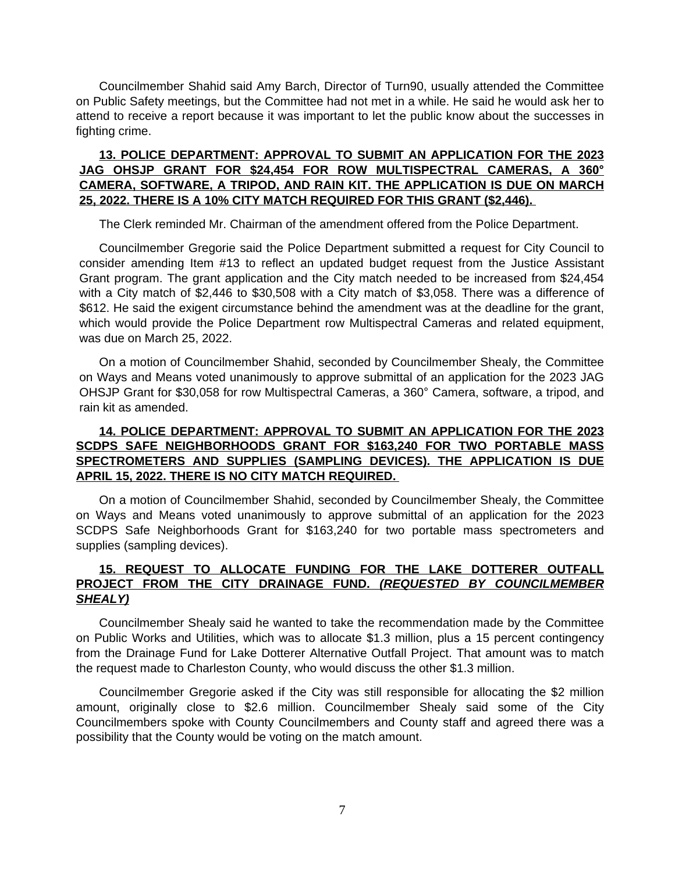Councilmember Shahid said Amy Barch, Director of Turn90, usually attended the Committee on Public Safety meetings, but the Committee had not met in a while. He said he would ask her to attend to receive a report because it was important to let the public know about the successes in fighting crime.

## **13. POLICE DEPARTMENT: APPROVAL TO SUBMIT AN APPLICATION FOR THE 2023 JAG OHSJP GRANT FOR \$24,454 FOR ROW MULTISPECTRAL CAMERAS, A 360° CAMERA, SOFTWARE, A TRIPOD, AND RAIN KIT. THE APPLICATION IS DUE ON MARCH 25, 2022. THERE IS A 10% CITY MATCH REQUIRED FOR THIS GRANT (\$2,446).**

The Clerk reminded Mr. Chairman of the amendment offered from the Police Department.

Councilmember Gregorie said the Police Department submitted a request for City Council to consider amending Item #13 to reflect an updated budget request from the Justice Assistant Grant program. The grant application and the City match needed to be increased from \$24,454 with a City match of \$2,446 to \$30,508 with a City match of \$3,058. There was a difference of \$612. He said the exigent circumstance behind the amendment was at the deadline for the grant, which would provide the Police Department row Multispectral Cameras and related equipment, was due on March 25, 2022.

On a motion of Councilmember Shahid, seconded by Councilmember Shealy, the Committee on Ways and Means voted unanimously to approve submittal of an application for the 2023 JAG OHSJP Grant for \$30,058 for row Multispectral Cameras, a 360° Camera, software, a tripod, and rain kit as amended.

### **14. POLICE DEPARTMENT: APPROVAL TO SUBMIT AN APPLICATION FOR THE 2023 SCDPS SAFE NEIGHBORHOODS GRANT FOR \$163,240 FOR TWO PORTABLE MASS SPECTROMETERS AND SUPPLIES (SAMPLING DEVICES). THE APPLICATION IS DUE APRIL 15, 2022. THERE IS NO CITY MATCH REQUIRED.**

On a motion of Councilmember Shahid, seconded by Councilmember Shealy, the Committee on Ways and Means voted unanimously to approve submittal of an application for the 2023 SCDPS Safe Neighborhoods Grant for \$163,240 for two portable mass spectrometers and supplies (sampling devices).

## **15. REQUEST TO ALLOCATE FUNDING FOR THE LAKE DOTTERER OUTFALL PROJECT FROM THE CITY DRAINAGE FUND.** *(REQUESTED BY COUNCILMEMBER SHEALY)*

Councilmember Shealy said he wanted to take the recommendation made by the Committee on Public Works and Utilities, which was to allocate \$1.3 million, plus a 15 percent contingency from the Drainage Fund for Lake Dotterer Alternative Outfall Project. That amount was to match the request made to Charleston County, who would discuss the other \$1.3 million.

Councilmember Gregorie asked if the City was still responsible for allocating the \$2 million amount, originally close to \$2.6 million. Councilmember Shealy said some of the City Councilmembers spoke with County Councilmembers and County staff and agreed there was a possibility that the County would be voting on the match amount.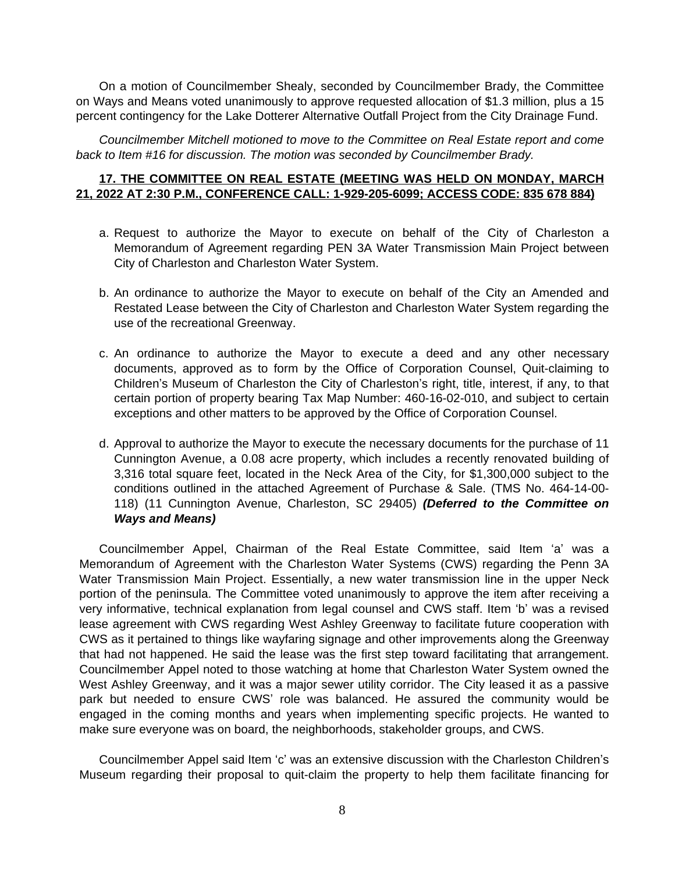On a motion of Councilmember Shealy, seconded by Councilmember Brady, the Committee on Ways and Means voted unanimously to approve requested allocation of \$1.3 million, plus a 15 percent contingency for the Lake Dotterer Alternative Outfall Project from the City Drainage Fund.

*Councilmember Mitchell motioned to move to the Committee on Real Estate report and come back to Item #16 for discussion. The motion was seconded by Councilmember Brady.* 

### **17. THE COMMITTEE ON REAL ESTATE (MEETING WAS HELD ON MONDAY, MARCH 21, 2022 AT 2:30 P.M., CONFERENCE CALL: 1-929-205-6099; ACCESS CODE: 835 678 884)**

- a. Request to authorize the Mayor to execute on behalf of the City of Charleston a Memorandum of Agreement regarding PEN 3A Water Transmission Main Project between City of Charleston and Charleston Water System.
- b. An ordinance to authorize the Mayor to execute on behalf of the City an Amended and Restated Lease between the City of Charleston and Charleston Water System regarding the use of the recreational Greenway.
- c. An ordinance to authorize the Mayor to execute a deed and any other necessary documents, approved as to form by the Office of Corporation Counsel, Quit-claiming to Children's Museum of Charleston the City of Charleston's right, title, interest, if any, to that certain portion of property bearing Tax Map Number: 460-16-02-010, and subject to certain exceptions and other matters to be approved by the Office of Corporation Counsel.
- d. Approval to authorize the Mayor to execute the necessary documents for the purchase of 11 Cunnington Avenue, a 0.08 acre property, which includes a recently renovated building of 3,316 total square feet, located in the Neck Area of the City, for \$1,300,000 subject to the conditions outlined in the attached Agreement of Purchase & Sale. (TMS No. 464-14-00- 118) (11 Cunnington Avenue, Charleston, SC 29405) *(Deferred to the Committee on Ways and Means)*

Councilmember Appel, Chairman of the Real Estate Committee, said Item 'a' was a Memorandum of Agreement with the Charleston Water Systems (CWS) regarding the Penn 3A Water Transmission Main Project. Essentially, a new water transmission line in the upper Neck portion of the peninsula. The Committee voted unanimously to approve the item after receiving a very informative, technical explanation from legal counsel and CWS staff. Item 'b' was a revised lease agreement with CWS regarding West Ashley Greenway to facilitate future cooperation with CWS as it pertained to things like wayfaring signage and other improvements along the Greenway that had not happened. He said the lease was the first step toward facilitating that arrangement. Councilmember Appel noted to those watching at home that Charleston Water System owned the West Ashley Greenway, and it was a major sewer utility corridor. The City leased it as a passive park but needed to ensure CWS' role was balanced. He assured the community would be engaged in the coming months and years when implementing specific projects. He wanted to make sure everyone was on board, the neighborhoods, stakeholder groups, and CWS.

Councilmember Appel said Item 'c' was an extensive discussion with the Charleston Children's Museum regarding their proposal to quit-claim the property to help them facilitate financing for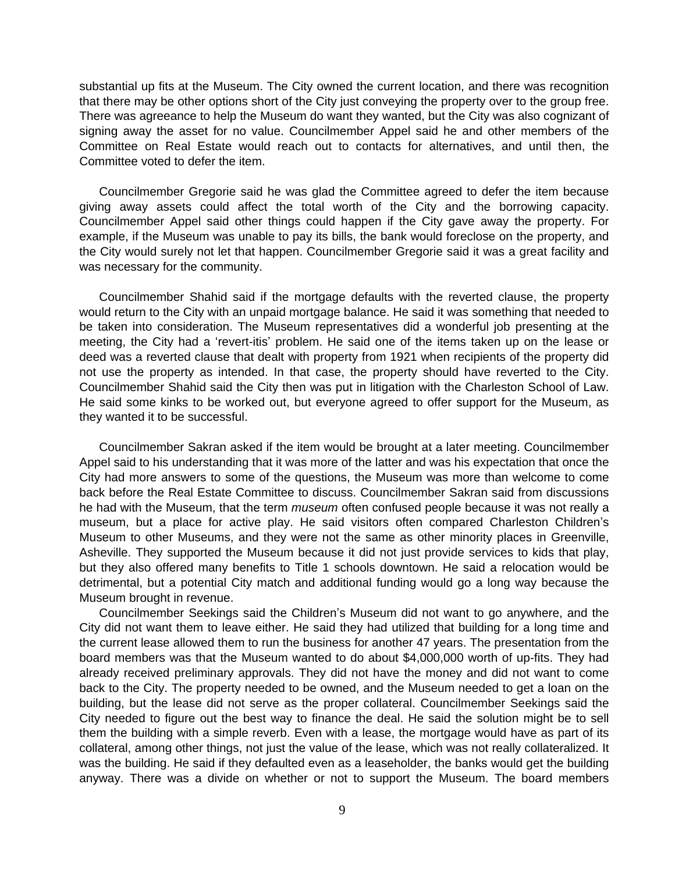substantial up fits at the Museum. The City owned the current location, and there was recognition that there may be other options short of the City just conveying the property over to the group free. There was agreeance to help the Museum do want they wanted, but the City was also cognizant of signing away the asset for no value. Councilmember Appel said he and other members of the Committee on Real Estate would reach out to contacts for alternatives, and until then, the Committee voted to defer the item.

Councilmember Gregorie said he was glad the Committee agreed to defer the item because giving away assets could affect the total worth of the City and the borrowing capacity. Councilmember Appel said other things could happen if the City gave away the property. For example, if the Museum was unable to pay its bills, the bank would foreclose on the property, and the City would surely not let that happen. Councilmember Gregorie said it was a great facility and was necessary for the community.

Councilmember Shahid said if the mortgage defaults with the reverted clause, the property would return to the City with an unpaid mortgage balance. He said it was something that needed to be taken into consideration. The Museum representatives did a wonderful job presenting at the meeting, the City had a 'revert-itis' problem. He said one of the items taken up on the lease or deed was a reverted clause that dealt with property from 1921 when recipients of the property did not use the property as intended. In that case, the property should have reverted to the City. Councilmember Shahid said the City then was put in litigation with the Charleston School of Law. He said some kinks to be worked out, but everyone agreed to offer support for the Museum, as they wanted it to be successful.

Councilmember Sakran asked if the item would be brought at a later meeting. Councilmember Appel said to his understanding that it was more of the latter and was his expectation that once the City had more answers to some of the questions, the Museum was more than welcome to come back before the Real Estate Committee to discuss. Councilmember Sakran said from discussions he had with the Museum, that the term *museum* often confused people because it was not really a museum, but a place for active play. He said visitors often compared Charleston Children's Museum to other Museums, and they were not the same as other minority places in Greenville, Asheville. They supported the Museum because it did not just provide services to kids that play, but they also offered many benefits to Title 1 schools downtown. He said a relocation would be detrimental, but a potential City match and additional funding would go a long way because the Museum brought in revenue.

Councilmember Seekings said the Children's Museum did not want to go anywhere, and the City did not want them to leave either. He said they had utilized that building for a long time and the current lease allowed them to run the business for another 47 years. The presentation from the board members was that the Museum wanted to do about \$4,000,000 worth of up-fits. They had already received preliminary approvals. They did not have the money and did not want to come back to the City. The property needed to be owned, and the Museum needed to get a loan on the building, but the lease did not serve as the proper collateral. Councilmember Seekings said the City needed to figure out the best way to finance the deal. He said the solution might be to sell them the building with a simple reverb. Even with a lease, the mortgage would have as part of its collateral, among other things, not just the value of the lease, which was not really collateralized. It was the building. He said if they defaulted even as a leaseholder, the banks would get the building anyway. There was a divide on whether or not to support the Museum. The board members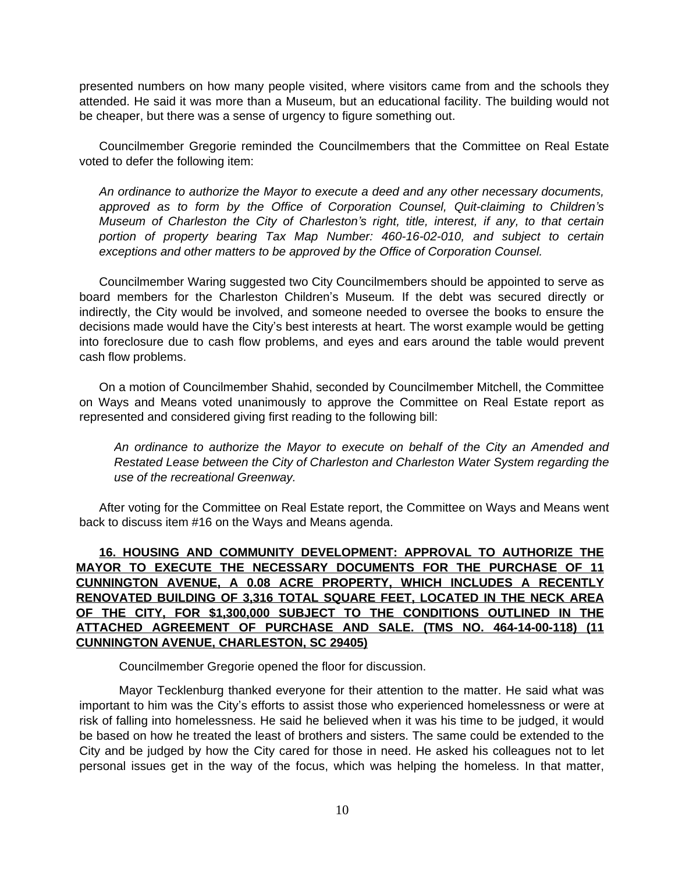presented numbers on how many people visited, where visitors came from and the schools they attended. He said it was more than a Museum, but an educational facility. The building would not be cheaper, but there was a sense of urgency to figure something out.

Councilmember Gregorie reminded the Councilmembers that the Committee on Real Estate voted to defer the following item:

*An ordinance to authorize the Mayor to execute a deed and any other necessary documents, approved as to form by the Office of Corporation Counsel, Quit-claiming to Children's Museum of Charleston the City of Charleston's right, title, interest, if any, to that certain portion of property bearing Tax Map Number: 460-16-02-010, and subject to certain exceptions and other matters to be approved by the Office of Corporation Counsel.* 

Councilmember Waring suggested two City Councilmembers should be appointed to serve as board members for the Charleston Children's Museum*.* If the debt was secured directly or indirectly, the City would be involved, and someone needed to oversee the books to ensure the decisions made would have the City's best interests at heart. The worst example would be getting into foreclosure due to cash flow problems, and eyes and ears around the table would prevent cash flow problems.

On a motion of Councilmember Shahid, seconded by Councilmember Mitchell, the Committee on Ways and Means voted unanimously to approve the Committee on Real Estate report as represented and considered giving first reading to the following bill:

*An ordinance to authorize the Mayor to execute on behalf of the City an Amended and Restated Lease between the City of Charleston and Charleston Water System regarding the use of the recreational Greenway.* 

After voting for the Committee on Real Estate report, the Committee on Ways and Means went back to discuss item #16 on the Ways and Means agenda.

**16. HOUSING AND COMMUNITY DEVELOPMENT: APPROVAL TO AUTHORIZE THE MAYOR TO EXECUTE THE NECESSARY DOCUMENTS FOR THE PURCHASE OF 11 CUNNINGTON AVENUE, A 0.08 ACRE PROPERTY, WHICH INCLUDES A RECENTLY RENOVATED BUILDING OF 3,316 TOTAL SQUARE FEET, LOCATED IN THE NECK AREA OF THE CITY, FOR \$1,300,000 SUBJECT TO THE CONDITIONS OUTLINED IN THE ATTACHED AGREEMENT OF PURCHASE AND SALE. (TMS NO. 464-14-00-118) (11 CUNNINGTON AVENUE, CHARLESTON, SC 29405)**

Councilmember Gregorie opened the floor for discussion.

Mayor Tecklenburg thanked everyone for their attention to the matter. He said what was important to him was the City's efforts to assist those who experienced homelessness or were at risk of falling into homelessness. He said he believed when it was his time to be judged, it would be based on how he treated the least of brothers and sisters. The same could be extended to the City and be judged by how the City cared for those in need. He asked his colleagues not to let personal issues get in the way of the focus, which was helping the homeless. In that matter,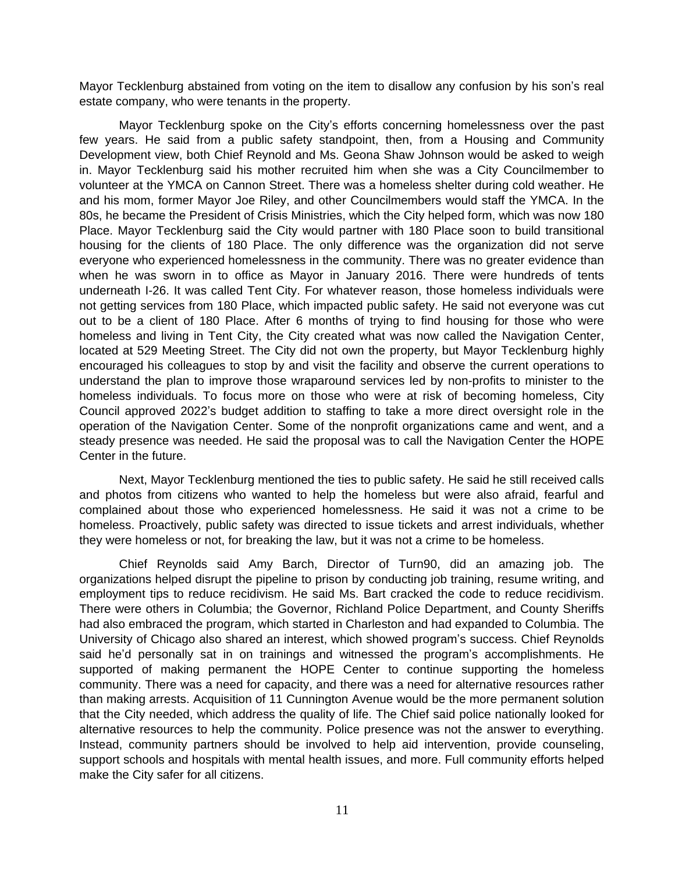Mayor Tecklenburg abstained from voting on the item to disallow any confusion by his son's real estate company, who were tenants in the property.

Mayor Tecklenburg spoke on the City's efforts concerning homelessness over the past few years. He said from a public safety standpoint, then, from a Housing and Community Development view, both Chief Reynold and Ms. Geona Shaw Johnson would be asked to weigh in. Mayor Tecklenburg said his mother recruited him when she was a City Councilmember to volunteer at the YMCA on Cannon Street. There was a homeless shelter during cold weather. He and his mom, former Mayor Joe Riley, and other Councilmembers would staff the YMCA. In the 80s, he became the President of Crisis Ministries, which the City helped form, which was now 180 Place. Mayor Tecklenburg said the City would partner with 180 Place soon to build transitional housing for the clients of 180 Place. The only difference was the organization did not serve everyone who experienced homelessness in the community. There was no greater evidence than when he was sworn in to office as Mayor in January 2016. There were hundreds of tents underneath I-26. It was called Tent City. For whatever reason, those homeless individuals were not getting services from 180 Place, which impacted public safety. He said not everyone was cut out to be a client of 180 Place. After 6 months of trying to find housing for those who were homeless and living in Tent City, the City created what was now called the Navigation Center, located at 529 Meeting Street. The City did not own the property, but Mayor Tecklenburg highly encouraged his colleagues to stop by and visit the facility and observe the current operations to understand the plan to improve those wraparound services led by non-profits to minister to the homeless individuals. To focus more on those who were at risk of becoming homeless, City Council approved 2022's budget addition to staffing to take a more direct oversight role in the operation of the Navigation Center. Some of the nonprofit organizations came and went, and a steady presence was needed. He said the proposal was to call the Navigation Center the HOPE Center in the future.

Next, Mayor Tecklenburg mentioned the ties to public safety. He said he still received calls and photos from citizens who wanted to help the homeless but were also afraid, fearful and complained about those who experienced homelessness. He said it was not a crime to be homeless. Proactively, public safety was directed to issue tickets and arrest individuals, whether they were homeless or not, for breaking the law, but it was not a crime to be homeless.

Chief Reynolds said Amy Barch, Director of Turn90, did an amazing job. The organizations helped disrupt the pipeline to prison by conducting job training, resume writing, and employment tips to reduce recidivism. He said Ms. Bart cracked the code to reduce recidivism. There were others in Columbia; the Governor, Richland Police Department, and County Sheriffs had also embraced the program, which started in Charleston and had expanded to Columbia. The University of Chicago also shared an interest, which showed program's success. Chief Reynolds said he'd personally sat in on trainings and witnessed the program's accomplishments. He supported of making permanent the HOPE Center to continue supporting the homeless community. There was a need for capacity, and there was a need for alternative resources rather than making arrests. Acquisition of 11 Cunnington Avenue would be the more permanent solution that the City needed, which address the quality of life. The Chief said police nationally looked for alternative resources to help the community. Police presence was not the answer to everything. Instead, community partners should be involved to help aid intervention, provide counseling, support schools and hospitals with mental health issues, and more. Full community efforts helped make the City safer for all citizens.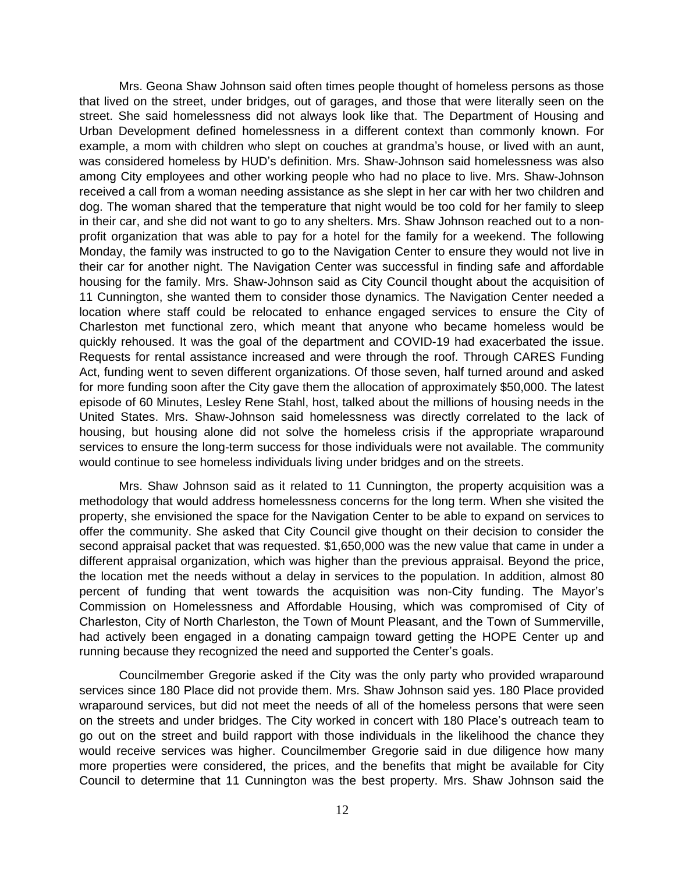Mrs. Geona Shaw Johnson said often times people thought of homeless persons as those that lived on the street, under bridges, out of garages, and those that were literally seen on the street. She said homelessness did not always look like that. The Department of Housing and Urban Development defined homelessness in a different context than commonly known. For example, a mom with children who slept on couches at grandma's house, or lived with an aunt, was considered homeless by HUD's definition. Mrs. Shaw-Johnson said homelessness was also among City employees and other working people who had no place to live. Mrs. Shaw-Johnson received a call from a woman needing assistance as she slept in her car with her two children and dog. The woman shared that the temperature that night would be too cold for her family to sleep in their car, and she did not want to go to any shelters. Mrs. Shaw Johnson reached out to a nonprofit organization that was able to pay for a hotel for the family for a weekend. The following Monday, the family was instructed to go to the Navigation Center to ensure they would not live in their car for another night. The Navigation Center was successful in finding safe and affordable housing for the family. Mrs. Shaw-Johnson said as City Council thought about the acquisition of 11 Cunnington, she wanted them to consider those dynamics. The Navigation Center needed a location where staff could be relocated to enhance engaged services to ensure the City of Charleston met functional zero, which meant that anyone who became homeless would be quickly rehoused. It was the goal of the department and COVID-19 had exacerbated the issue. Requests for rental assistance increased and were through the roof. Through CARES Funding Act, funding went to seven different organizations. Of those seven, half turned around and asked for more funding soon after the City gave them the allocation of approximately \$50,000. The latest episode of 60 Minutes, Lesley Rene Stahl, host, talked about the millions of housing needs in the United States. Mrs. Shaw-Johnson said homelessness was directly correlated to the lack of housing, but housing alone did not solve the homeless crisis if the appropriate wraparound services to ensure the long-term success for those individuals were not available. The community would continue to see homeless individuals living under bridges and on the streets.

Mrs. Shaw Johnson said as it related to 11 Cunnington, the property acquisition was a methodology that would address homelessness concerns for the long term. When she visited the property, she envisioned the space for the Navigation Center to be able to expand on services to offer the community. She asked that City Council give thought on their decision to consider the second appraisal packet that was requested. \$1,650,000 was the new value that came in under a different appraisal organization, which was higher than the previous appraisal. Beyond the price, the location met the needs without a delay in services to the population. In addition, almost 80 percent of funding that went towards the acquisition was non-City funding. The Mayor's Commission on Homelessness and Affordable Housing, which was compromised of City of Charleston, City of North Charleston, the Town of Mount Pleasant, and the Town of Summerville, had actively been engaged in a donating campaign toward getting the HOPE Center up and running because they recognized the need and supported the Center's goals.

Councilmember Gregorie asked if the City was the only party who provided wraparound services since 180 Place did not provide them. Mrs. Shaw Johnson said yes. 180 Place provided wraparound services, but did not meet the needs of all of the homeless persons that were seen on the streets and under bridges. The City worked in concert with 180 Place's outreach team to go out on the street and build rapport with those individuals in the likelihood the chance they would receive services was higher. Councilmember Gregorie said in due diligence how many more properties were considered, the prices, and the benefits that might be available for City Council to determine that 11 Cunnington was the best property. Mrs. Shaw Johnson said the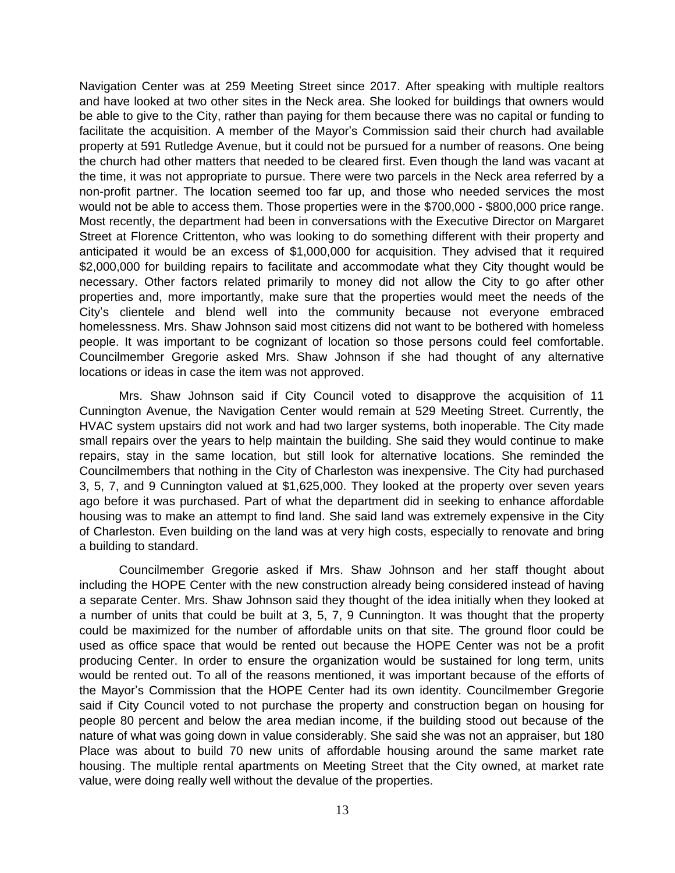Navigation Center was at 259 Meeting Street since 2017. After speaking with multiple realtors and have looked at two other sites in the Neck area. She looked for buildings that owners would be able to give to the City, rather than paying for them because there was no capital or funding to facilitate the acquisition. A member of the Mayor's Commission said their church had available property at 591 Rutledge Avenue, but it could not be pursued for a number of reasons. One being the church had other matters that needed to be cleared first. Even though the land was vacant at the time, it was not appropriate to pursue. There were two parcels in the Neck area referred by a non-profit partner. The location seemed too far up, and those who needed services the most would not be able to access them. Those properties were in the \$700,000 - \$800,000 price range. Most recently, the department had been in conversations with the Executive Director on Margaret Street at Florence Crittenton, who was looking to do something different with their property and anticipated it would be an excess of \$1,000,000 for acquisition. They advised that it required \$2,000,000 for building repairs to facilitate and accommodate what they City thought would be necessary. Other factors related primarily to money did not allow the City to go after other properties and, more importantly, make sure that the properties would meet the needs of the City's clientele and blend well into the community because not everyone embraced homelessness. Mrs. Shaw Johnson said most citizens did not want to be bothered with homeless people. It was important to be cognizant of location so those persons could feel comfortable. Councilmember Gregorie asked Mrs. Shaw Johnson if she had thought of any alternative locations or ideas in case the item was not approved.

Mrs. Shaw Johnson said if City Council voted to disapprove the acquisition of 11 Cunnington Avenue, the Navigation Center would remain at 529 Meeting Street. Currently, the HVAC system upstairs did not work and had two larger systems, both inoperable. The City made small repairs over the years to help maintain the building. She said they would continue to make repairs, stay in the same location, but still look for alternative locations. She reminded the Councilmembers that nothing in the City of Charleston was inexpensive. The City had purchased 3, 5, 7, and 9 Cunnington valued at \$1,625,000. They looked at the property over seven years ago before it was purchased. Part of what the department did in seeking to enhance affordable housing was to make an attempt to find land. She said land was extremely expensive in the City of Charleston. Even building on the land was at very high costs, especially to renovate and bring a building to standard.

Councilmember Gregorie asked if Mrs. Shaw Johnson and her staff thought about including the HOPE Center with the new construction already being considered instead of having a separate Center. Mrs. Shaw Johnson said they thought of the idea initially when they looked at a number of units that could be built at 3, 5, 7, 9 Cunnington. It was thought that the property could be maximized for the number of affordable units on that site. The ground floor could be used as office space that would be rented out because the HOPE Center was not be a profit producing Center. In order to ensure the organization would be sustained for long term, units would be rented out. To all of the reasons mentioned, it was important because of the efforts of the Mayor's Commission that the HOPE Center had its own identity. Councilmember Gregorie said if City Council voted to not purchase the property and construction began on housing for people 80 percent and below the area median income, if the building stood out because of the nature of what was going down in value considerably. She said she was not an appraiser, but 180 Place was about to build 70 new units of affordable housing around the same market rate housing. The multiple rental apartments on Meeting Street that the City owned, at market rate value, were doing really well without the devalue of the properties.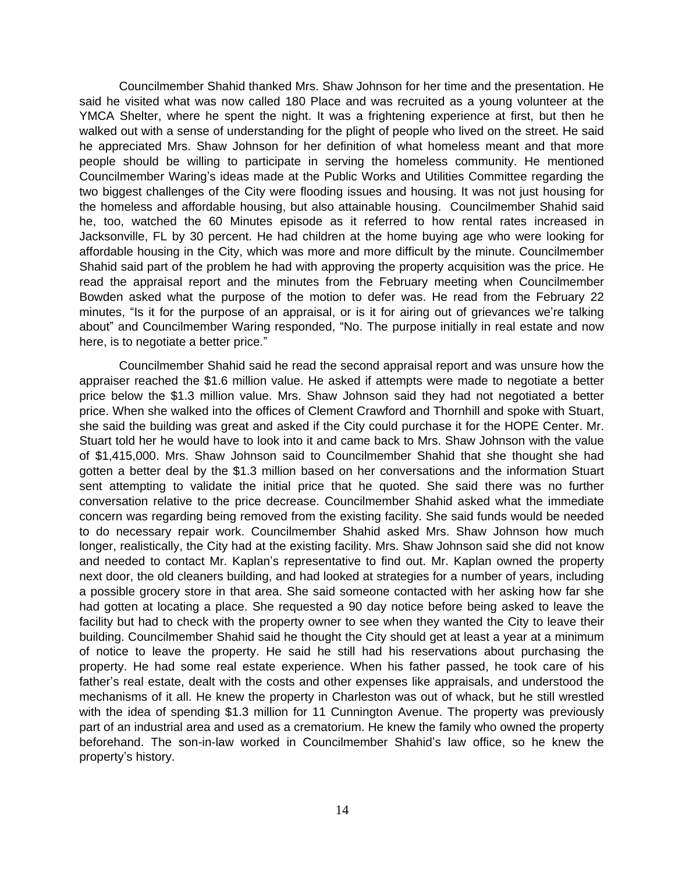Councilmember Shahid thanked Mrs. Shaw Johnson for her time and the presentation. He said he visited what was now called 180 Place and was recruited as a young volunteer at the YMCA Shelter, where he spent the night. It was a frightening experience at first, but then he walked out with a sense of understanding for the plight of people who lived on the street. He said he appreciated Mrs. Shaw Johnson for her definition of what homeless meant and that more people should be willing to participate in serving the homeless community. He mentioned Councilmember Waring's ideas made at the Public Works and Utilities Committee regarding the two biggest challenges of the City were flooding issues and housing. It was not just housing for the homeless and affordable housing, but also attainable housing. Councilmember Shahid said he, too, watched the 60 Minutes episode as it referred to how rental rates increased in Jacksonville, FL by 30 percent. He had children at the home buying age who were looking for affordable housing in the City, which was more and more difficult by the minute. Councilmember Shahid said part of the problem he had with approving the property acquisition was the price. He read the appraisal report and the minutes from the February meeting when Councilmember Bowden asked what the purpose of the motion to defer was. He read from the February 22 minutes, "Is it for the purpose of an appraisal, or is it for airing out of grievances we're talking about" and Councilmember Waring responded, "No. The purpose initially in real estate and now here, is to negotiate a better price."

Councilmember Shahid said he read the second appraisal report and was unsure how the appraiser reached the \$1.6 million value. He asked if attempts were made to negotiate a better price below the \$1.3 million value. Mrs. Shaw Johnson said they had not negotiated a better price. When she walked into the offices of Clement Crawford and Thornhill and spoke with Stuart, she said the building was great and asked if the City could purchase it for the HOPE Center. Mr. Stuart told her he would have to look into it and came back to Mrs. Shaw Johnson with the value of \$1,415,000. Mrs. Shaw Johnson said to Councilmember Shahid that she thought she had gotten a better deal by the \$1.3 million based on her conversations and the information Stuart sent attempting to validate the initial price that he quoted. She said there was no further conversation relative to the price decrease. Councilmember Shahid asked what the immediate concern was regarding being removed from the existing facility. She said funds would be needed to do necessary repair work. Councilmember Shahid asked Mrs. Shaw Johnson how much longer, realistically, the City had at the existing facility. Mrs. Shaw Johnson said she did not know and needed to contact Mr. Kaplan's representative to find out. Mr. Kaplan owned the property next door, the old cleaners building, and had looked at strategies for a number of years, including a possible grocery store in that area. She said someone contacted with her asking how far she had gotten at locating a place. She requested a 90 day notice before being asked to leave the facility but had to check with the property owner to see when they wanted the City to leave their building. Councilmember Shahid said he thought the City should get at least a year at a minimum of notice to leave the property. He said he still had his reservations about purchasing the property. He had some real estate experience. When his father passed, he took care of his father's real estate, dealt with the costs and other expenses like appraisals, and understood the mechanisms of it all. He knew the property in Charleston was out of whack, but he still wrestled with the idea of spending \$1.3 million for 11 Cunnington Avenue. The property was previously part of an industrial area and used as a crematorium. He knew the family who owned the property beforehand. The son-in-law worked in Councilmember Shahid's law office, so he knew the property's history.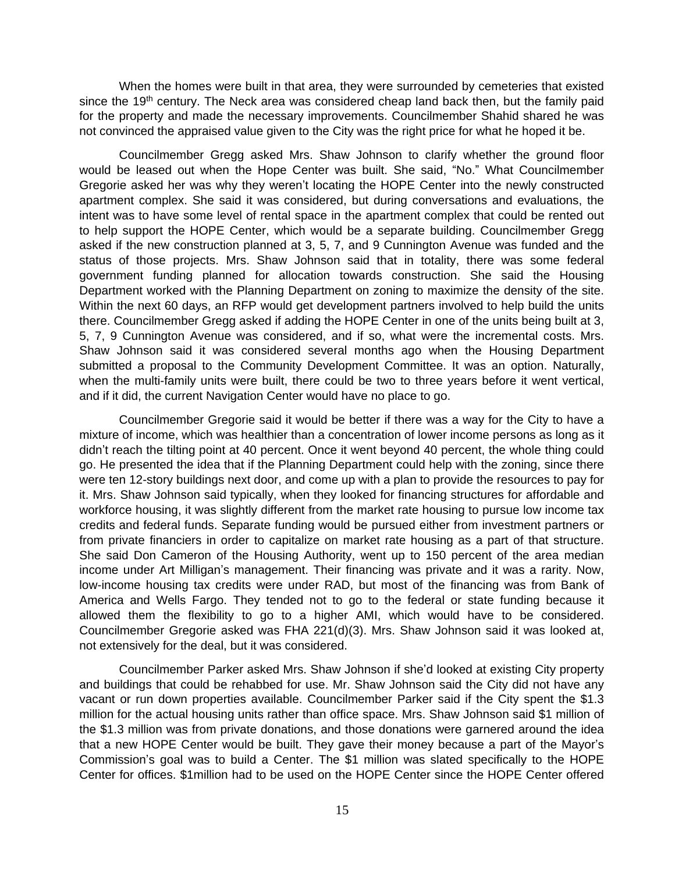When the homes were built in that area, they were surrounded by cemeteries that existed since the 19<sup>th</sup> century. The Neck area was considered cheap land back then, but the family paid for the property and made the necessary improvements. Councilmember Shahid shared he was not convinced the appraised value given to the City was the right price for what he hoped it be.

Councilmember Gregg asked Mrs. Shaw Johnson to clarify whether the ground floor would be leased out when the Hope Center was built. She said, "No." What Councilmember Gregorie asked her was why they weren't locating the HOPE Center into the newly constructed apartment complex. She said it was considered, but during conversations and evaluations, the intent was to have some level of rental space in the apartment complex that could be rented out to help support the HOPE Center, which would be a separate building. Councilmember Gregg asked if the new construction planned at 3, 5, 7, and 9 Cunnington Avenue was funded and the status of those projects. Mrs. Shaw Johnson said that in totality, there was some federal government funding planned for allocation towards construction. She said the Housing Department worked with the Planning Department on zoning to maximize the density of the site. Within the next 60 days, an RFP would get development partners involved to help build the units there. Councilmember Gregg asked if adding the HOPE Center in one of the units being built at 3, 5, 7, 9 Cunnington Avenue was considered, and if so, what were the incremental costs. Mrs. Shaw Johnson said it was considered several months ago when the Housing Department submitted a proposal to the Community Development Committee. It was an option. Naturally, when the multi-family units were built, there could be two to three years before it went vertical, and if it did, the current Navigation Center would have no place to go.

Councilmember Gregorie said it would be better if there was a way for the City to have a mixture of income, which was healthier than a concentration of lower income persons as long as it didn't reach the tilting point at 40 percent. Once it went beyond 40 percent, the whole thing could go. He presented the idea that if the Planning Department could help with the zoning, since there were ten 12-story buildings next door, and come up with a plan to provide the resources to pay for it. Mrs. Shaw Johnson said typically, when they looked for financing structures for affordable and workforce housing, it was slightly different from the market rate housing to pursue low income tax credits and federal funds. Separate funding would be pursued either from investment partners or from private financiers in order to capitalize on market rate housing as a part of that structure. She said Don Cameron of the Housing Authority, went up to 150 percent of the area median income under Art Milligan's management. Their financing was private and it was a rarity. Now, low-income housing tax credits were under RAD, but most of the financing was from Bank of America and Wells Fargo. They tended not to go to the federal or state funding because it allowed them the flexibility to go to a higher AMI, which would have to be considered. Councilmember Gregorie asked was FHA 221(d)(3). Mrs. Shaw Johnson said it was looked at, not extensively for the deal, but it was considered.

Councilmember Parker asked Mrs. Shaw Johnson if she'd looked at existing City property and buildings that could be rehabbed for use. Mr. Shaw Johnson said the City did not have any vacant or run down properties available. Councilmember Parker said if the City spent the \$1.3 million for the actual housing units rather than office space. Mrs. Shaw Johnson said \$1 million of the \$1.3 million was from private donations, and those donations were garnered around the idea that a new HOPE Center would be built. They gave their money because a part of the Mayor's Commission's goal was to build a Center. The \$1 million was slated specifically to the HOPE Center for offices. \$1million had to be used on the HOPE Center since the HOPE Center offered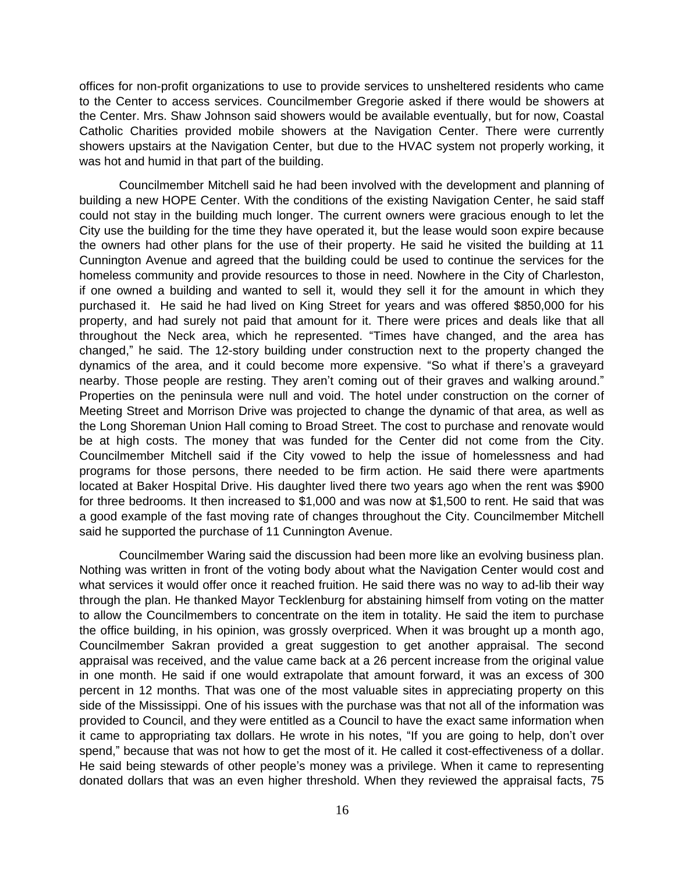offices for non-profit organizations to use to provide services to unsheltered residents who came to the Center to access services. Councilmember Gregorie asked if there would be showers at the Center. Mrs. Shaw Johnson said showers would be available eventually, but for now, Coastal Catholic Charities provided mobile showers at the Navigation Center. There were currently showers upstairs at the Navigation Center, but due to the HVAC system not properly working, it was hot and humid in that part of the building.

Councilmember Mitchell said he had been involved with the development and planning of building a new HOPE Center. With the conditions of the existing Navigation Center, he said staff could not stay in the building much longer. The current owners were gracious enough to let the City use the building for the time they have operated it, but the lease would soon expire because the owners had other plans for the use of their property. He said he visited the building at 11 Cunnington Avenue and agreed that the building could be used to continue the services for the homeless community and provide resources to those in need. Nowhere in the City of Charleston, if one owned a building and wanted to sell it, would they sell it for the amount in which they purchased it. He said he had lived on King Street for years and was offered \$850,000 for his property, and had surely not paid that amount for it. There were prices and deals like that all throughout the Neck area, which he represented. "Times have changed, and the area has changed," he said. The 12-story building under construction next to the property changed the dynamics of the area, and it could become more expensive. "So what if there's a graveyard nearby. Those people are resting. They aren't coming out of their graves and walking around." Properties on the peninsula were null and void. The hotel under construction on the corner of Meeting Street and Morrison Drive was projected to change the dynamic of that area, as well as the Long Shoreman Union Hall coming to Broad Street. The cost to purchase and renovate would be at high costs. The money that was funded for the Center did not come from the City. Councilmember Mitchell said if the City vowed to help the issue of homelessness and had programs for those persons, there needed to be firm action. He said there were apartments located at Baker Hospital Drive. His daughter lived there two years ago when the rent was \$900 for three bedrooms. It then increased to \$1,000 and was now at \$1,500 to rent. He said that was a good example of the fast moving rate of changes throughout the City. Councilmember Mitchell said he supported the purchase of 11 Cunnington Avenue.

Councilmember Waring said the discussion had been more like an evolving business plan. Nothing was written in front of the voting body about what the Navigation Center would cost and what services it would offer once it reached fruition. He said there was no way to ad-lib their way through the plan. He thanked Mayor Tecklenburg for abstaining himself from voting on the matter to allow the Councilmembers to concentrate on the item in totality. He said the item to purchase the office building, in his opinion, was grossly overpriced. When it was brought up a month ago, Councilmember Sakran provided a great suggestion to get another appraisal. The second appraisal was received, and the value came back at a 26 percent increase from the original value in one month. He said if one would extrapolate that amount forward, it was an excess of 300 percent in 12 months. That was one of the most valuable sites in appreciating property on this side of the Mississippi. One of his issues with the purchase was that not all of the information was provided to Council, and they were entitled as a Council to have the exact same information when it came to appropriating tax dollars. He wrote in his notes, "If you are going to help, don't over spend," because that was not how to get the most of it. He called it cost-effectiveness of a dollar. He said being stewards of other people's money was a privilege. When it came to representing donated dollars that was an even higher threshold. When they reviewed the appraisal facts, 75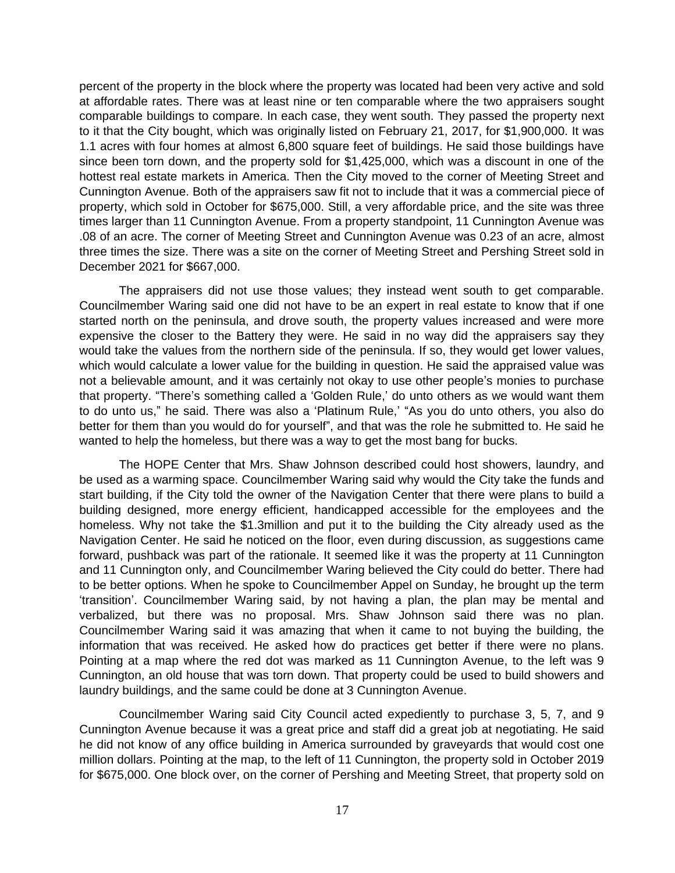percent of the property in the block where the property was located had been very active and sold at affordable rates. There was at least nine or ten comparable where the two appraisers sought comparable buildings to compare. In each case, they went south. They passed the property next to it that the City bought, which was originally listed on February 21, 2017, for \$1,900,000. It was 1.1 acres with four homes at almost 6,800 square feet of buildings. He said those buildings have since been torn down, and the property sold for \$1,425,000, which was a discount in one of the hottest real estate markets in America. Then the City moved to the corner of Meeting Street and Cunnington Avenue. Both of the appraisers saw fit not to include that it was a commercial piece of property, which sold in October for \$675,000. Still, a very affordable price, and the site was three times larger than 11 Cunnington Avenue. From a property standpoint, 11 Cunnington Avenue was .08 of an acre. The corner of Meeting Street and Cunnington Avenue was 0.23 of an acre, almost three times the size. There was a site on the corner of Meeting Street and Pershing Street sold in December 2021 for \$667,000.

The appraisers did not use those values; they instead went south to get comparable. Councilmember Waring said one did not have to be an expert in real estate to know that if one started north on the peninsula, and drove south, the property values increased and were more expensive the closer to the Battery they were. He said in no way did the appraisers say they would take the values from the northern side of the peninsula. If so, they would get lower values, which would calculate a lower value for the building in question. He said the appraised value was not a believable amount, and it was certainly not okay to use other people's monies to purchase that property. "There's something called a 'Golden Rule,' do unto others as we would want them to do unto us," he said. There was also a 'Platinum Rule,' "As you do unto others, you also do better for them than you would do for yourself", and that was the role he submitted to. He said he wanted to help the homeless, but there was a way to get the most bang for bucks.

The HOPE Center that Mrs. Shaw Johnson described could host showers, laundry, and be used as a warming space. Councilmember Waring said why would the City take the funds and start building, if the City told the owner of the Navigation Center that there were plans to build a building designed, more energy efficient, handicapped accessible for the employees and the homeless. Why not take the \$1.3million and put it to the building the City already used as the Navigation Center. He said he noticed on the floor, even during discussion, as suggestions came forward, pushback was part of the rationale. It seemed like it was the property at 11 Cunnington and 11 Cunnington only, and Councilmember Waring believed the City could do better. There had to be better options. When he spoke to Councilmember Appel on Sunday, he brought up the term 'transition'. Councilmember Waring said, by not having a plan, the plan may be mental and verbalized, but there was no proposal. Mrs. Shaw Johnson said there was no plan. Councilmember Waring said it was amazing that when it came to not buying the building, the information that was received. He asked how do practices get better if there were no plans. Pointing at a map where the red dot was marked as 11 Cunnington Avenue, to the left was 9 Cunnington, an old house that was torn down. That property could be used to build showers and laundry buildings, and the same could be done at 3 Cunnington Avenue.

Councilmember Waring said City Council acted expediently to purchase 3, 5, 7, and 9 Cunnington Avenue because it was a great price and staff did a great job at negotiating. He said he did not know of any office building in America surrounded by graveyards that would cost one million dollars. Pointing at the map, to the left of 11 Cunnington, the property sold in October 2019 for \$675,000. One block over, on the corner of Pershing and Meeting Street, that property sold on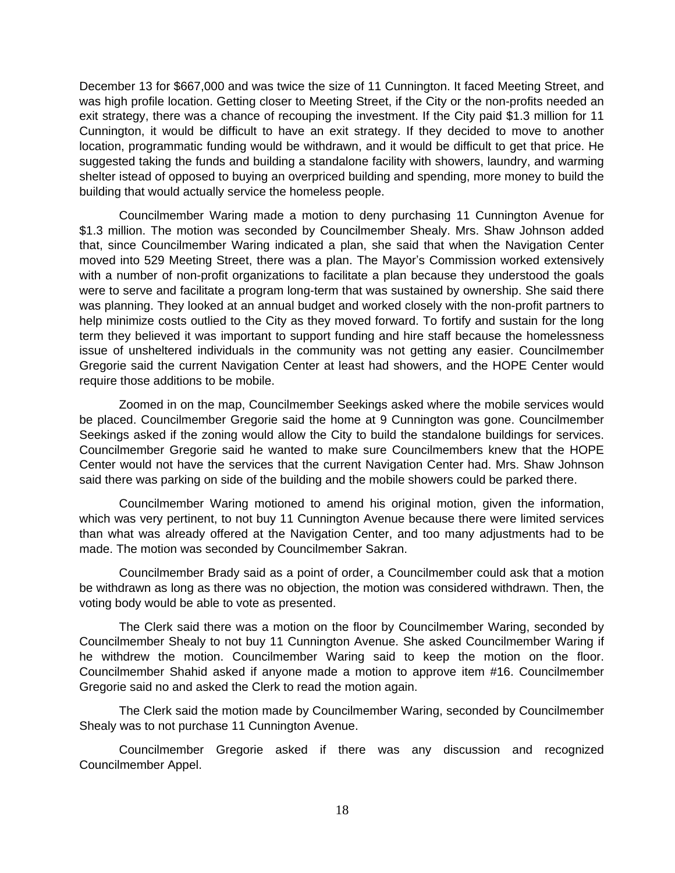December 13 for \$667,000 and was twice the size of 11 Cunnington. It faced Meeting Street, and was high profile location. Getting closer to Meeting Street, if the City or the non-profits needed an exit strategy, there was a chance of recouping the investment. If the City paid \$1.3 million for 11 Cunnington, it would be difficult to have an exit strategy. If they decided to move to another location, programmatic funding would be withdrawn, and it would be difficult to get that price. He suggested taking the funds and building a standalone facility with showers, laundry, and warming shelter istead of opposed to buying an overpriced building and spending, more money to build the building that would actually service the homeless people.

Councilmember Waring made a motion to deny purchasing 11 Cunnington Avenue for \$1.3 million. The motion was seconded by Councilmember Shealy. Mrs. Shaw Johnson added that, since Councilmember Waring indicated a plan, she said that when the Navigation Center moved into 529 Meeting Street, there was a plan. The Mayor's Commission worked extensively with a number of non-profit organizations to facilitate a plan because they understood the goals were to serve and facilitate a program long-term that was sustained by ownership. She said there was planning. They looked at an annual budget and worked closely with the non-profit partners to help minimize costs outlied to the City as they moved forward. To fortify and sustain for the long term they believed it was important to support funding and hire staff because the homelessness issue of unsheltered individuals in the community was not getting any easier. Councilmember Gregorie said the current Navigation Center at least had showers, and the HOPE Center would require those additions to be mobile.

Zoomed in on the map, Councilmember Seekings asked where the mobile services would be placed. Councilmember Gregorie said the home at 9 Cunnington was gone. Councilmember Seekings asked if the zoning would allow the City to build the standalone buildings for services. Councilmember Gregorie said he wanted to make sure Councilmembers knew that the HOPE Center would not have the services that the current Navigation Center had. Mrs. Shaw Johnson said there was parking on side of the building and the mobile showers could be parked there.

Councilmember Waring motioned to amend his original motion, given the information, which was very pertinent, to not buy 11 Cunnington Avenue because there were limited services than what was already offered at the Navigation Center, and too many adjustments had to be made. The motion was seconded by Councilmember Sakran.

Councilmember Brady said as a point of order, a Councilmember could ask that a motion be withdrawn as long as there was no objection, the motion was considered withdrawn. Then, the voting body would be able to vote as presented.

The Clerk said there was a motion on the floor by Councilmember Waring, seconded by Councilmember Shealy to not buy 11 Cunnington Avenue. She asked Councilmember Waring if he withdrew the motion. Councilmember Waring said to keep the motion on the floor. Councilmember Shahid asked if anyone made a motion to approve item #16. Councilmember Gregorie said no and asked the Clerk to read the motion again.

The Clerk said the motion made by Councilmember Waring, seconded by Councilmember Shealy was to not purchase 11 Cunnington Avenue.

Councilmember Gregorie asked if there was any discussion and recognized Councilmember Appel.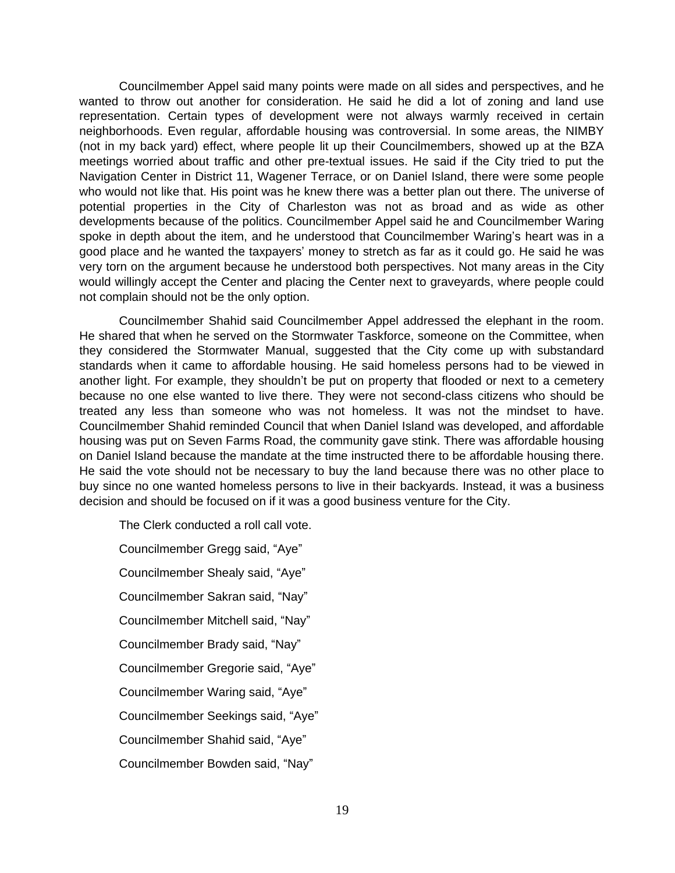Councilmember Appel said many points were made on all sides and perspectives, and he wanted to throw out another for consideration. He said he did a lot of zoning and land use representation. Certain types of development were not always warmly received in certain neighborhoods. Even regular, affordable housing was controversial. In some areas, the NIMBY (not in my back yard) effect, where people lit up their Councilmembers, showed up at the BZA meetings worried about traffic and other pre-textual issues. He said if the City tried to put the Navigation Center in District 11, Wagener Terrace, or on Daniel Island, there were some people who would not like that. His point was he knew there was a better plan out there. The universe of potential properties in the City of Charleston was not as broad and as wide as other developments because of the politics. Councilmember Appel said he and Councilmember Waring spoke in depth about the item, and he understood that Councilmember Waring's heart was in a good place and he wanted the taxpayers' money to stretch as far as it could go. He said he was very torn on the argument because he understood both perspectives. Not many areas in the City would willingly accept the Center and placing the Center next to graveyards, where people could not complain should not be the only option.

Councilmember Shahid said Councilmember Appel addressed the elephant in the room. He shared that when he served on the Stormwater Taskforce, someone on the Committee, when they considered the Stormwater Manual, suggested that the City come up with substandard standards when it came to affordable housing. He said homeless persons had to be viewed in another light. For example, they shouldn't be put on property that flooded or next to a cemetery because no one else wanted to live there. They were not second-class citizens who should be treated any less than someone who was not homeless. It was not the mindset to have. Councilmember Shahid reminded Council that when Daniel Island was developed, and affordable housing was put on Seven Farms Road, the community gave stink. There was affordable housing on Daniel Island because the mandate at the time instructed there to be affordable housing there. He said the vote should not be necessary to buy the land because there was no other place to buy since no one wanted homeless persons to live in their backyards. Instead, it was a business decision and should be focused on if it was a good business venture for the City.

The Clerk conducted a roll call vote. Councilmember Gregg said, "Aye" Councilmember Shealy said, "Aye" Councilmember Sakran said, "Nay" Councilmember Mitchell said, "Nay" Councilmember Brady said, "Nay" Councilmember Gregorie said, "Aye" Councilmember Waring said, "Aye" Councilmember Seekings said, "Aye" Councilmember Shahid said, "Aye" Councilmember Bowden said, "Nay"